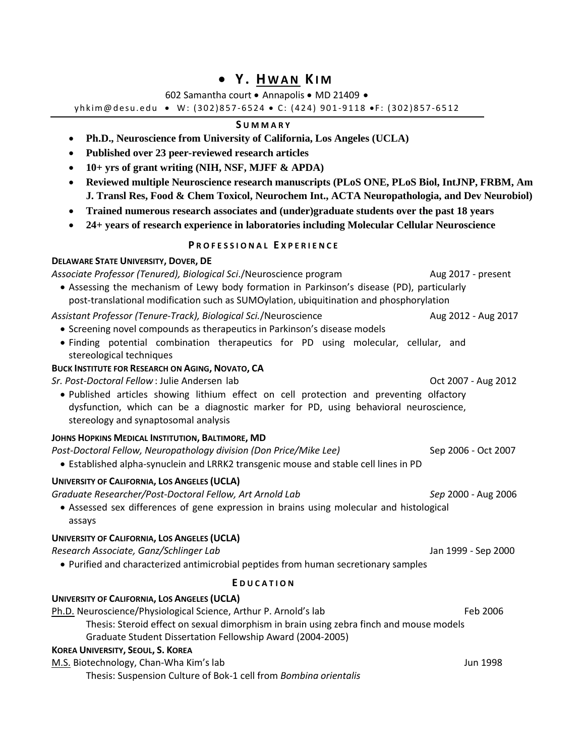# **Y . H W A N KI M**

# 602 Samantha court · Annapolis · MD 21409 ·

yhkim@desu.edu • W: (302)857-6524 • C: (424) 901-9118 • F: (302)857-6512

# **S U M M A R Y**

- **Ph.D., Neuroscience from University of California, Los Angeles (UCLA)**
- **Published over 23 peer-reviewed research articles**
- **10+ yrs of grant writing (NIH, NSF, MJFF & APDA)**
- **Reviewed multiple Neuroscience research manuscripts (PLoS ONE, PLoS Biol, IntJNP, FRBM, Am J. Transl Res, Food & Chem Toxicol, Neurochem Int., ACTA Neuropathologia, and Dev Neurobiol)**
- **Trained numerous research associates and (under)graduate students over the past 18 years**
- **24+ years of research experience in laboratories including Molecular Cellular Neuroscience**

# **P R O F E S S I O N A L E X P E R I E N C E**

# **DELAWARE STATE UNIVERSITY, DOVER, DE**

*Associate Professor (Tenured), Biological Sci*./Neuroscience program Aug 2017 - present Assessing the mechanism of Lewy body formation in Parkinson's disease (PD), particularly post-translational modification such as SUMOylation, ubiquitination and phosphorylation *Assistant Professor (Tenure-Track), Biological Sci.*/Neuroscience Aug 2012 - Aug 2017 • Screening novel compounds as therapeutics in Parkinson's disease models Finding potential combination therapeutics for PD using molecular, cellular, and stereological techniques **BUCK INSTITUTE FOR RESEARCH ON AGING, NOVATO, CA** *Sr. Post-Doctoral Fellow* : Julie Andersen lab **Sr. Post-Doct 2007 - Aug 2012**  Published articles showing lithium effect on cell protection and preventing olfactory dysfunction, which can be a diagnostic marker for PD, using behavioral neuroscience, stereology and synaptosomal analysis **JOHNS HOPKINS MEDICAL INSTITUTION, BALTIMORE, MD** *Post-Doctoral Fellow, Neuropathology division (Don Price/Mike Lee)* Sep 2006 - Oct 2007 Established alpha-synuclein and LRRK2 transgenic mouse and stable cell lines in PD **UNIVERSITY OF CALIFORNIA, LOS ANGELES (UCLA)** *Graduate Researcher/Post-Doctoral Fellow, Art Arnold Lab Sep* 2000 - Aug 2006

 Assessed sex differences of gene expression in brains using molecular and histological assays

# **UNIVERSITY OF CALIFORNIA, LOS ANGELES (UCLA)**

*Research Associate, Ganz/Schlinger Lab* Jan 1999 - Sep 2000

Purified and characterized antimicrobial peptides from human secretionary samples

# **E D U C A T I O N**

# **UNIVERSITY OF CALIFORNIA, LOS ANGELES (UCLA)** Ph.D. Neuroscience/Physiological Science, Arthur P. Arnold's lab Feb 2006 Thesis: Steroid effect on sexual dimorphism in brain using zebra finch and mouse models Graduate Student Dissertation Fellowship Award (2004-2005) **KOREA UNIVERSITY, SEOUL, S. KOREA** M.S. Biotechnology, Chan-Wha Kim's lab Jun 1998

Thesis: Suspension Culture of Bok-1 cell from *Bombina orientalis*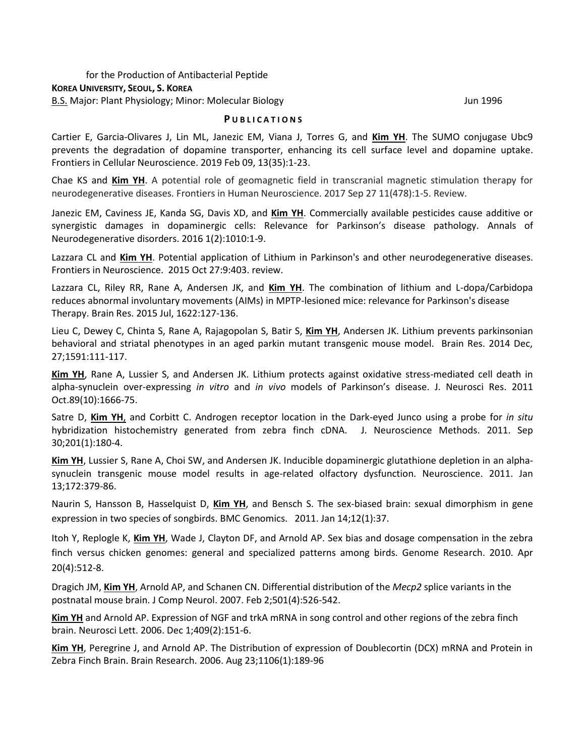#### for the Production of Antibacterial Peptide **KOREA UNIVERSITY, SEOUL, S. KOREA** B.S. Major: Plant Physiology; Minor: Molecular Biology Jun 1996

#### **P U B L I C A T I O N S**

Cartier E, Garcia-Olivares J, Lin ML, Janezic EM, Viana J, Torres G, and **Kim YH**. The SUMO conjugase Ubc9 prevents the degradation of dopamine transporter, enhancing its cell surface level and dopamine uptake. Frontiers in Cellular Neuroscience. 2019 Feb 09, 13(35):1-23.

Chae KS and **Kim YH**. A potential role of geomagnetic field in transcranial magnetic stimulation therapy for neurodegenerative diseases. Frontiers in Human Neuroscience. 2017 Sep 27 11(478):1-5. Review.

Janezic EM, Caviness JE, Kanda SG, Davis XD, and **Kim YH**. Commercially available pesticides cause additive or synergistic damages in dopaminergic cells: Relevance for Parkinson's disease pathology. Annals of Neurodegenerative disorders. 2016 1(2):1010:1-9.

Lazzara CL and **Kim YH**. Potential application of Lithium in Parkinson's and other neurodegenerative diseases. Frontiers in Neuroscience. 2015 Oct 27:9:403. review.

Lazzara CL, Riley RR, Rane A, Andersen JK, and **Kim YH**. The combination of lithium and L-dopa/Carbidopa reduces abnormal involuntary movements (AIMs) in MPTP-lesioned mice: relevance for Parkinson's disease Therapy. Brain Res. 2015 Jul, 1622:127-136.

Lieu C, Dewey C, Chinta S, Rane A, Rajagopolan S, Batir S, **Kim YH**, Andersen JK. Lithium prevents parkinsonian behavioral and striatal phenotypes in an aged parkin mutant transgenic mouse model. Brain Res. 2014 Dec, 27;1591:111-117.

**Kim YH**, Rane A, Lussier S, and Andersen JK. Lithium protects against oxidative stress-mediated cell death in alpha-synuclein over-expressing *in vitro* and *in vivo* models of Parkinson's disease. J. Neurosci Res. 2011 Oct.89(10):1666-75.

Satre D, **Kim YH**, and Corbitt C. Androgen receptor location in the Dark-eyed Junco using a probe for *in situ*  hybridization histochemistry generated from zebra finch cDNA. J. Neuroscience Methods. 2011. Sep 30;201(1):180-4.

**Kim YH**, Lussier S, Rane A, Choi SW, and Andersen JK. Inducible dopaminergic glutathione depletion in an alphasynuclein transgenic mouse model results in age-related olfactory dysfunction. Neuroscience. 2011. Jan 13;172:379-86.

Naurin S, Hansson B, Hasselquist D, **Kim YH**, and Bensch S. The sex-biased brain: sexual dimorphism in gene expression in two species of songbirds. BMC Genomics. 2011. Jan 14;12(1):37.

Itoh Y, Replogle K, **Kim YH**, Wade J, Clayton DF, and Arnold AP. Sex bias and dosage compensation in the zebra finch versus chicken genomes: general and specialized patterns among birds. Genome Research. 2010. Apr 20(4):512-8.

Dragich JM, **Kim YH**, Arnold AP, and Schanen CN. Differential distribution of the *Mecp2* splice variants in the postnatal mouse brain. J Comp Neurol. 2007. Feb 2;501(4):526-542.

**Kim YH** and Arnold AP. Expression of NGF and trkA mRNA in song control and other regions of the zebra finch brain. Neurosci Lett. 2006. Dec 1;409(2):151-6.

**Kim YH**, Peregrine J, and Arnold AP. The Distribution of expression of Doublecortin (DCX) mRNA and Protein in Zebra Finch Brain. Brain Research. 2006. Aug 23;1106(1):189-96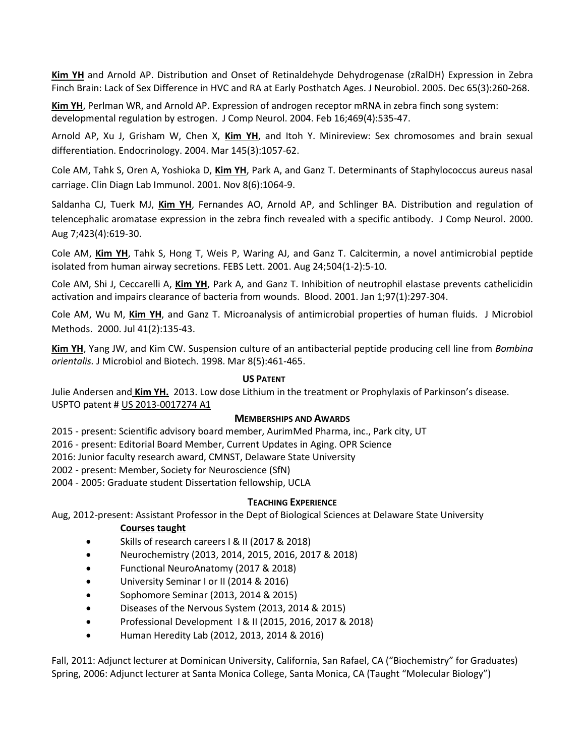**Kim YH** and Arnold AP. Distribution and Onset of Retinaldehyde Dehydrogenase (zRalDH) Expression in Zebra Finch Brain: Lack of Sex Difference in HVC and RA at Early Posthatch Ages. J Neurobiol. 2005. Dec 65(3):260-268.

**Kim YH**[, Perlman WR, and Arnold AP.](http://www.ncbi.nlm.nih.gov/entrez/query.fcgi?cmd=Retrieve&db=PubMed&list_uids=14755534&dopt=Abstract) Expression of androgen receptor mRNA in zebra finch song system: developmental regulation by estrogen. J Comp Neurol. 2004. Feb 16;469(4):535-47.

[Arnold AP, Xu J, Grisham W, Chen X,](http://www.ncbi.nlm.nih.gov/entrez/query.fcgi?cmd=Retrieve&db=PubMed&list_uids=14670983&dopt=Abstract) **Kim YH**, and Itoh Y. Minireview: Sex chromosomes and brain sexual differentiation. Endocrinology. 2004. Mar 145(3):1057-62.

[Cole AM, Tahk S, Oren A, Yoshioka D,](http://www.ncbi.nlm.nih.gov/entrez/query.fcgi?cmd=Retrieve&db=PubMed&list_uids=11687441&dopt=Abstract) **Kim YH**, Park A, and Ganz T. Determinants of Staphylococcus aureus nasal carriage. Clin Diagn Lab Immunol. 2001. Nov 8(6):1064-9.

Saldanha CJ, Tuerk MJ, **Kim YH**[, Fernandes AO, Arnold AP, and Schlinger BA.](http://www.ncbi.nlm.nih.gov/entrez/query.fcgi?cmd=Retrieve&db=PubMed&list_uids=10880992&dopt=Abstract) Distribution and regulation of telencephalic aromatase expression in the zebra finch revealed with a specific antibody. J Comp Neurol. 2000. Aug 7;423(4):619-30.

Cole AM, **Kim YH**[, Tahk S, Hong T, Weis P, Waring AJ, and Ganz T.](http://www.ncbi.nlm.nih.gov/entrez/query.fcgi?cmd=Retrieve&db=PubMed&list_uids=11522286&dopt=Abstract) Calcitermin, a novel antimicrobial peptide isolated from human airway secretions. FEBS Lett. 2001. Aug 24;504(1-2):5-10.

[Cole AM, Shi J, Ceccarelli A,](http://www.ncbi.nlm.nih.gov/entrez/query.fcgi?cmd=Retrieve&db=PubMed&list_uids=11133774&dopt=Abstract) **Kim YH**, Park A, and Ganz T. Inhibition of neutrophil elastase prevents cathelicidin activation and impairs clearance of bacteria from wounds. Blood. 2001. Jan 1;97(1):297-304.

[Cole AM, Wu M,](http://www.ncbi.nlm.nih.gov/entrez/query.fcgi?cmd=Retrieve&db=PubMed&list_uids=10889310&dopt=Abstract) **Kim YH**, and Ganz T. Microanalysis of antimicrobial properties of human fluids. J Microbiol Methods. 2000. Jul 41(2):135-43.

**Kim YH**, Yang JW, and Kim CW. Suspension culture of an antibacterial peptide producing cell line from *Bombina orientalis.* J Microbiol and Biotech. 1998. Mar 8(5):461-465.

### **US PATENT**

Julie Andersen and **Kim YH.** 2013. Low dose Lithium in the treatment or Prophylaxis of Parkinson's disease. USPTO patent # US 2013-0017274 A1

#### **MEMBERSHIPS AND AWARDS**

2015 - present: Scientific advisory board member, AurimMed Pharma, inc., Park city, UT

2016 - present: Editorial Board Member, Current Updates in Aging. OPR Science

2016: Junior faculty research award, CMNST, Delaware State University

2002 - present: Member, Society for Neuroscience (SfN)

2004 - 2005: Graduate student Dissertation fellowship, UCLA

# **TEACHING EXPERIENCE**

Aug, 2012-present: Assistant Professor in the Dept of Biological Sciences at Delaware State University

# **Courses taught**

- Skills of research careers I & II (2017 & 2018)
- Neurochemistry (2013, 2014, 2015, 2016, 2017 & 2018)
- Functional NeuroAnatomy (2017 & 2018)
- University Seminar I or II (2014 & 2016)
- Sophomore Seminar (2013, 2014 & 2015)
- Diseases of the Nervous System (2013, 2014 & 2015)
- Professional Development 1 & II (2015, 2016, 2017 & 2018)
- Human Heredity Lab (2012, 2013, 2014 & 2016)

Fall, 2011: Adjunct lecturer at Dominican University, California, San Rafael, CA ("Biochemistry" for Graduates) Spring, 2006: Adjunct lecturer at Santa Monica College, Santa Monica, CA (Taught "Molecular Biology")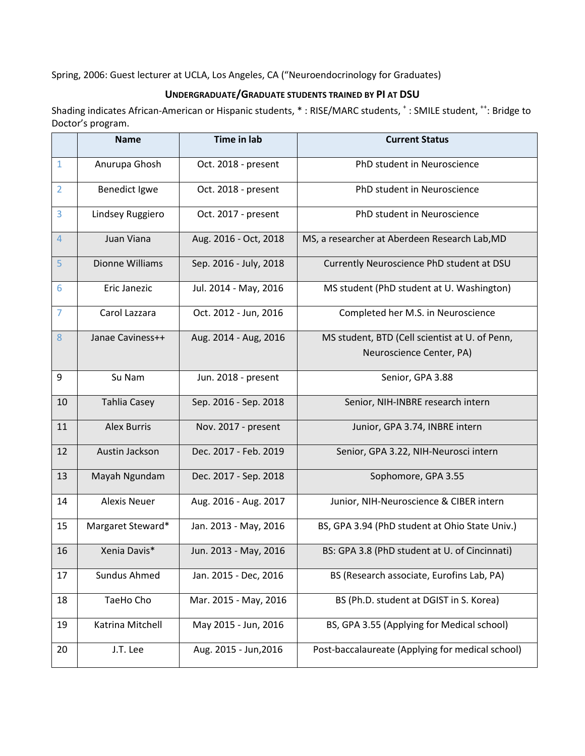Spring, 2006: Guest lecturer at UCLA, Los Angeles, CA ("Neuroendocrinology for Graduates)

# **UNDERGRADUATE/GRADUATE STUDENTS TRAINED BY PI AT DSU**

Shading indicates African-American or Hispanic students,  $*$  : RISE/MARC students,  $^*$  : SMILE student,  $^{**}$ : Bridge to Doctor's program.

|                | <b>Name</b>            | Time in lab            | <b>Current Status</b>                            |
|----------------|------------------------|------------------------|--------------------------------------------------|
| $\mathbf{1}$   | Anurupa Ghosh          | Oct. 2018 - present    | PhD student in Neuroscience                      |
| $\overline{2}$ | <b>Benedict Igwe</b>   | Oct. 2018 - present    | PhD student in Neuroscience                      |
| 3              | Lindsey Ruggiero       | Oct. 2017 - present    | PhD student in Neuroscience                      |
| $\overline{4}$ | Juan Viana             | Aug. 2016 - Oct, 2018  | MS, a researcher at Aberdeen Research Lab, MD    |
| 5              | <b>Dionne Williams</b> | Sep. 2016 - July, 2018 | Currently Neuroscience PhD student at DSU        |
| 6              | Eric Janezic           | Jul. 2014 - May, 2016  | MS student (PhD student at U. Washington)        |
| $\overline{7}$ | Carol Lazzara          | Oct. 2012 - Jun, 2016  | Completed her M.S. in Neuroscience               |
| 8              | Janae Caviness++       | Aug. 2014 - Aug, 2016  | MS student, BTD (Cell scientist at U. of Penn,   |
|                |                        |                        | Neuroscience Center, PA)                         |
| 9              | Su Nam                 | Jun. 2018 - present    | Senior, GPA 3.88                                 |
| 10             | <b>Tahlia Casey</b>    | Sep. 2016 - Sep. 2018  | Senior, NIH-INBRE research intern                |
| 11             | <b>Alex Burris</b>     | Nov. 2017 - present    | Junior, GPA 3.74, INBRE intern                   |
| 12             | Austin Jackson         | Dec. 2017 - Feb. 2019  | Senior, GPA 3.22, NIH-Neurosci intern            |
| 13             | Mayah Ngundam          | Dec. 2017 - Sep. 2018  | Sophomore, GPA 3.55                              |
| 14             | <b>Alexis Neuer</b>    | Aug. 2016 - Aug. 2017  | Junior, NIH-Neuroscience & CIBER intern          |
| 15             | Margaret Steward*      | Jan. 2013 - May, 2016  | BS, GPA 3.94 (PhD student at Ohio State Univ.)   |
| 16             | Xenia Davis*           | Jun. 2013 - May, 2016  | BS: GPA 3.8 (PhD student at U. of Cincinnati)    |
| 17             | <b>Sundus Ahmed</b>    | Jan. 2015 - Dec, 2016  | BS (Research associate, Eurofins Lab, PA)        |
| 18             | TaeHo Cho              | Mar. 2015 - May, 2016  | BS (Ph.D. student at DGIST in S. Korea)          |
| 19             | Katrina Mitchell       | May 2015 - Jun, 2016   | BS, GPA 3.55 (Applying for Medical school)       |
| 20             | J.T. Lee               | Aug. 2015 - Jun, 2016  | Post-baccalaureate (Applying for medical school) |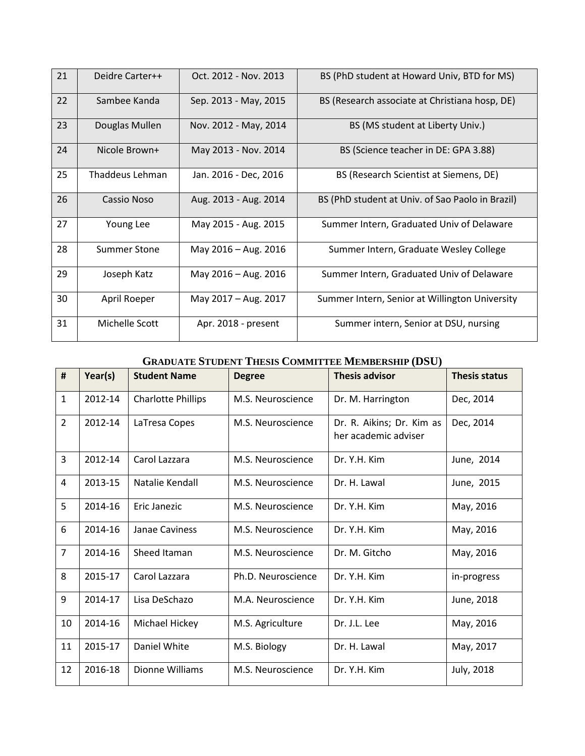| 21 | Deidre Carter++     | Oct. 2012 - Nov. 2013 | BS (PhD student at Howard Univ, BTD for MS)      |
|----|---------------------|-----------------------|--------------------------------------------------|
| 22 | Sambee Kanda        | Sep. 2013 - May, 2015 | BS (Research associate at Christiana hosp, DE)   |
| 23 | Douglas Mullen      | Nov. 2012 - May, 2014 | BS (MS student at Liberty Univ.)                 |
| 24 | Nicole Brown+       | May 2013 - Nov. 2014  | BS (Science teacher in DE: GPA 3.88)             |
| 25 | Thaddeus Lehman     | Jan. 2016 - Dec, 2016 | BS (Research Scientist at Siemens, DE)           |
| 26 | Cassio Noso         | Aug. 2013 - Aug. 2014 | BS (PhD student at Univ. of Sao Paolo in Brazil) |
| 27 | Young Lee           | May 2015 - Aug. 2015  | Summer Intern, Graduated Univ of Delaware        |
| 28 | <b>Summer Stone</b> | May 2016 - Aug. 2016  | Summer Intern, Graduate Wesley College           |
| 29 | Joseph Katz         | May 2016 - Aug. 2016  | Summer Intern, Graduated Univ of Delaware        |
| 30 | April Roeper        | May 2017 - Aug. 2017  | Summer Intern, Senior at Willington University   |
| 31 | Michelle Scott      | Apr. 2018 - present   | Summer intern, Senior at DSU, nursing            |

# **GRADUATE STUDENT THESIS COMMITTEE MEMBERSHIP (DSU)**

| #              | Year(s) | <b>Student Name</b>       | <b>Degree</b>      | <b>Thesis advisor</b>                             | <b>Thesis status</b> |
|----------------|---------|---------------------------|--------------------|---------------------------------------------------|----------------------|
| 1              | 2012-14 | <b>Charlotte Phillips</b> | M.S. Neuroscience  | Dr. M. Harrington                                 | Dec, 2014            |
| $\overline{2}$ | 2012-14 | LaTresa Copes             | M.S. Neuroscience  | Dr. R. Aikins; Dr. Kim as<br>her academic adviser | Dec, 2014            |
| 3              | 2012-14 | Carol Lazzara             | M.S. Neuroscience  | Dr. Y.H. Kim                                      | June, 2014           |
| 4              | 2013-15 | Natalie Kendall           | M.S. Neuroscience  | Dr. H. Lawal                                      | June, 2015           |
| 5              | 2014-16 | Eric Janezic              | M.S. Neuroscience  | Dr. Y.H. Kim                                      | May, 2016            |
| 6              | 2014-16 | Janae Caviness            | M.S. Neuroscience  | Dr. Y.H. Kim                                      | May, 2016            |
| $\overline{7}$ | 2014-16 | Sheed Itaman              | M.S. Neuroscience  | Dr. M. Gitcho                                     | May, 2016            |
| 8              | 2015-17 | Carol Lazzara             | Ph.D. Neuroscience | Dr. Y.H. Kim                                      | in-progress          |
| 9              | 2014-17 | Lisa DeSchazo             | M.A. Neuroscience  | Dr. Y.H. Kim                                      | June, 2018           |
| 10             | 2014-16 | Michael Hickey            | M.S. Agriculture   | Dr. J.L. Lee                                      | May, 2016            |
| 11             | 2015-17 | Daniel White              | M.S. Biology       | Dr. H. Lawal                                      | May, 2017            |
| 12             | 2016-18 | Dionne Williams           | M.S. Neuroscience  | Dr. Y.H. Kim                                      | July, 2018           |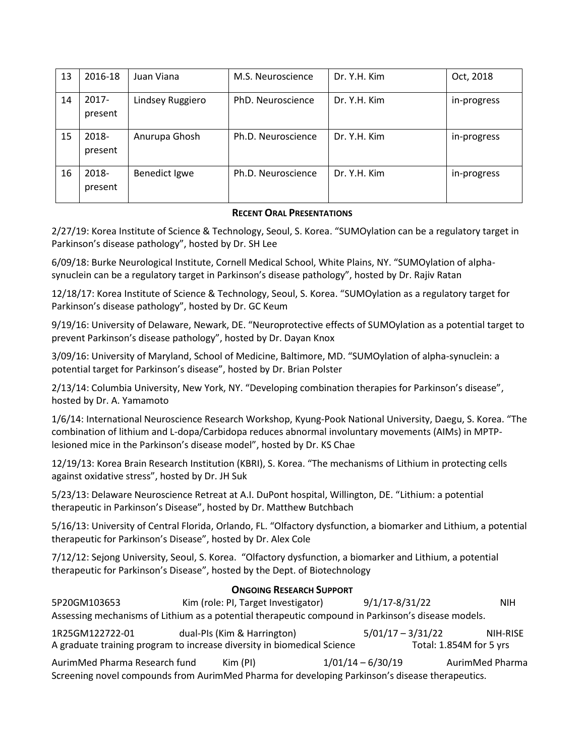| 13 | 2016-18             | Juan Viana       | M.S. Neuroscience  | Dr. Y.H. Kim | Oct, 2018   |
|----|---------------------|------------------|--------------------|--------------|-------------|
| 14 | $2017 -$<br>present | Lindsey Ruggiero | PhD. Neuroscience  | Dr. Y.H. Kim | in-progress |
| 15 | 2018-<br>present    | Anurupa Ghosh    | Ph.D. Neuroscience | Dr. Y.H. Kim | in-progress |
| 16 | 2018-<br>present    | Benedict Igwe    | Ph.D. Neuroscience | Dr. Y.H. Kim | in-progress |

# **RECENT ORAL PRESENTATIONS**

2/27/19: Korea Institute of Science & Technology, Seoul, S. Korea. "SUMOylation can be a regulatory target in Parkinson's disease pathology", hosted by Dr. SH Lee

6/09/18: Burke Neurological Institute, Cornell Medical School, White Plains, NY. "SUMOylation of alphasynuclein can be a regulatory target in Parkinson's disease pathology", hosted by Dr. Rajiv Ratan

12/18/17: Korea Institute of Science & Technology, Seoul, S. Korea. "SUMOylation as a regulatory target for Parkinson's disease pathology", hosted by Dr. GC Keum

9/19/16: University of Delaware, Newark, DE. "Neuroprotective effects of SUMOylation as a potential target to prevent Parkinson's disease pathology", hosted by Dr. Dayan Knox

3/09/16: University of Maryland, School of Medicine, Baltimore, MD. "SUMOylation of alpha-synuclein: a potential target for Parkinson's disease", hosted by Dr. Brian Polster

2/13/14: Columbia University, New York, NY. "Developing combination therapies for Parkinson's disease", hosted by Dr. A. Yamamoto

1/6/14: International Neuroscience Research Workshop, Kyung-Pook National University, Daegu, S. Korea. "The combination of lithium and L-dopa/Carbidopa reduces abnormal involuntary movements (AIMs) in MPTPlesioned mice in the Parkinson's disease model", hosted by Dr. KS Chae

12/19/13: Korea Brain Research Institution (KBRI), S. Korea. "The mechanisms of Lithium in protecting cells against oxidative stress", hosted by Dr. JH Suk

5/23/13: Delaware Neuroscience Retreat at A.I. DuPont hospital, Willington, DE. "Lithium: a potential therapeutic in Parkinson's Disease", hosted by Dr. Matthew Butchbach

5/16/13: University of Central Florida, Orlando, FL. "Olfactory dysfunction, a biomarker and Lithium, a potential therapeutic for Parkinson's Disease", hosted by Dr. Alex Cole

7/12/12: Sejong University, Seoul, S. Korea. "Olfactory dysfunction, a biomarker and Lithium, a potential therapeutic for Parkinson's Disease", hosted by the Dept. of Biotechnology

# **ONGOING RESEARCH SUPPORT**

5P20GM103653 Kim (role: PI, Target Investigator) 9/1/17-8/31/22 NIH Assessing mechanisms of Lithium as a potential therapeutic compound in Parkinson's disease models.

1R25GM122722-01 dual-PIs (Kim & Harrington) 5/01/17 – 3/31/22 NIH-RISE A graduate training program to increase diversity in biomedical Science Total: 1.854M for 5 yrs AurimMed Pharma Research fund Kim (PI)  $1/01/14 - 6/30/19$  AurimMed Pharma Screening novel compounds from AurimMed Pharma for developing Parkinson's disease therapeutics.